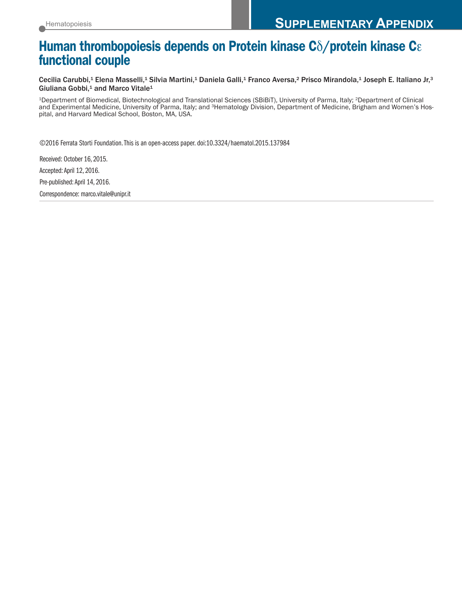# **Human thrombopoiesis depends on Protein kinase C**δ**/protein kinase C**ε **functional couple**

Cecilia Carubbi,<sup>1</sup> Elena Masselli,<sup>1</sup> Silvia Martini,<sup>1</sup> Daniela Galli,<sup>1</sup> Franco Aversa,<sup>2</sup> Prisco Mirandola,<sup>1</sup> Joseph E. Italiano Jr,<sup>3</sup> Giuliana Gobbi,<sup>1</sup> and Marco Vitale<sup>1</sup>

1Department of Biomedical, Biotechnological and Translational Sciences (SBiBiT), University of Parma, Italy; 2Department of Clinical and Experimental Medicine, University of Parma, Italy; and 3Hematology Division, Department of Medicine, Brigham and Women's Hospital, and Harvard Medical School, Boston, MA, USA.

©2016 Ferrata Storti Foundation.This is an open-access paper. doi:10.3324/haematol.2015.137984

Received: October 16, 2015.

Accepted:April 12, 2016.

Pre-published: April 14, 2016.

Correspondence: marco.vitale@unipr.it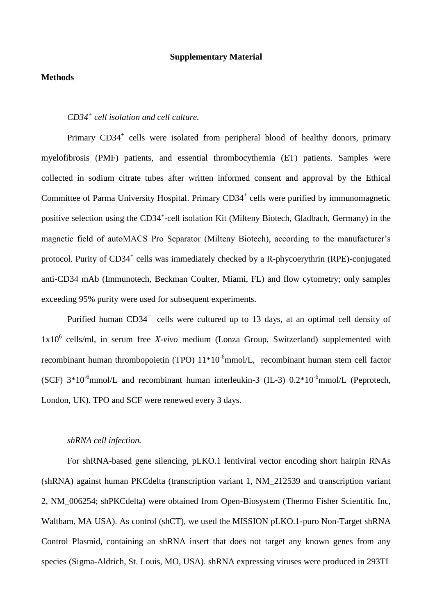### **Supplementary Material**

# **Methods**

# *CD34<sup>+</sup> cell isolation and cell culture.*

Primary CD34<sup>+</sup> cells were isolated from peripheral blood of healthy donors, primary myelofibrosis (PMF) patients, and essential thrombocythemia (ET) patients. Samples were collected in sodium citrate tubes after written informed consent and approval by the Ethical Committee of Parma University Hospital. Primary CD34<sup>+</sup> cells were purified by immunomagnetic positive selection using the CD34<sup>+</sup>-cell isolation Kit (Milteny Biotech, Gladbach, Germany) in the magnetic field of autoMACS Pro Separator (Milteny Biotech), according to the manufacturer's protocol. Purity of CD34<sup>+</sup> cells was immediately checked by a R-phycoerythrin (RPE)-conjugated anti-CD34 mAb (Immunotech, Beckman Coulter, Miami, FL) and flow cytometry; only samples exceeding 95% purity were used for subsequent experiments.

Purified human  $CD34^+$  cells were cultured up to 13 days, at an optimal cell density of 1x10<sup>6</sup> cells/ml, in serum free *X-vivo* medium (Lonza Group, Switzerland) supplemented with recombinant human thrombopoietin (TPO)  $11*10<sup>-6</sup>$ mmol/L, recombinant human stem cell factor (SCF)  $3*10^{-6}$ mmol/L and recombinant human interleukin-3 (IL-3)  $0.2*10^{-6}$ mmol/L (Peprotech, London, UK). TPO and SCF were renewed every 3 days.

#### *shRNA cell infection.*

For shRNA-based gene silencing, pLKO.1 lentiviral vector encoding short hairpin RNAs (shRNA) against human PKCdelta (transcription variant 1, NM\_212539 and transcription variant 2, NM\_006254; shPKCdelta) were obtained from Open-Biosystem (Thermo Fisher Scientific Inc, Waltham, MA USA). As control (shCT), we used the MISSION pLKO.1-puro Non-Target shRNA Control Plasmid, containing an shRNA insert that does not target any known genes from any species (Sigma-Aldrich, St. Louis, MO, USA). shRNA expressing viruses were produced in 293TL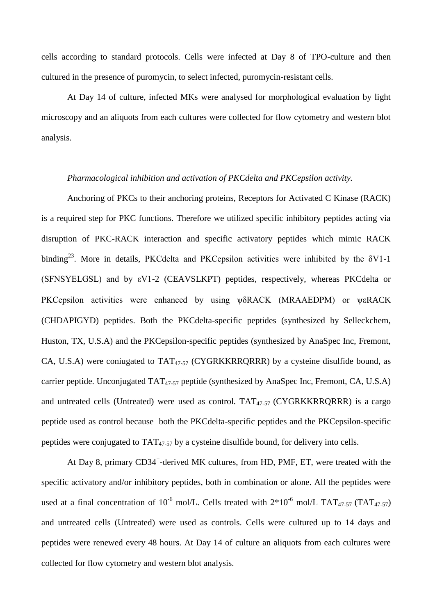cells according to standard protocols. Cells were infected at Day 8 of TPO-culture and then cultured in the presence of puromycin, to select infected, puromycin-resistant cells.

At Day 14 of culture, infected MKs were analysed for morphological evaluation by light microscopy and an aliquots from each cultures were collected for flow cytometry and western blot analysis.

#### *Pharmacological inhibition and activation of PKCdelta and PKCepsilon activity.*

Anchoring of PKCs to their anchoring proteins, Receptors for Activated C Kinase (RACK) is a required step for PKC functions. Therefore we utilized specific inhibitory peptides acting via disruption of PKC-RACK interaction and specific activatory peptides which mimic RACK binding<sup>23</sup>. More in details, PKCdelta and PKCepsilon activities were inhibited by the  $\delta V1-1$ (SFNSYELGSL) and by εV1-2 (CEAVSLKPT) peptides, respectively, whereas PKCdelta or PKCepsilon activities were enhanced by using ψδRACK (MRAAEDPM) or ψεRACK (CHDAPIGYD) peptides. Both the PKCdelta-specific peptides (synthesized by Selleckchem, Huston, TX, U.S.A) and the PKCepsilon-specific peptides (synthesized by AnaSpec Inc, Fremont, CA, U.S.A) were coniugated to  $TAT_{47-57}$  (CYGRKKRRQRRR) by a cysteine disulfide bound, as carrier peptide. Unconjugated  $TAT_{47-57}$  peptide (synthesized by AnaSpec Inc, Fremont, CA, U.S.A) and untreated cells (Untreated) were used as control.  $TAT_{47.57}$  (CYGRKKRRQRRR) is a cargo peptide used as control because both the PKCdelta-specific peptides and the PKCepsilon-specific peptides were conjugated to TAT47-57 by a cysteine disulfide bound, for delivery into cells.

At Day 8, primary CD34<sup>+</sup>-derived MK cultures, from HD, PMF, ET, were treated with the specific activatory and/or inhibitory peptides, both in combination or alone. All the peptides were used at a final concentration of 10<sup>-6</sup> mol/L. Cells treated with  $2*10^{-6}$  mol/L TAT<sub>47-57</sub> (TAT<sub>47-57</sub>) and untreated cells (Untreated) were used as controls. Cells were cultured up to 14 days and peptides were renewed every 48 hours. At Day 14 of culture an aliquots from each cultures were collected for flow cytometry and western blot analysis.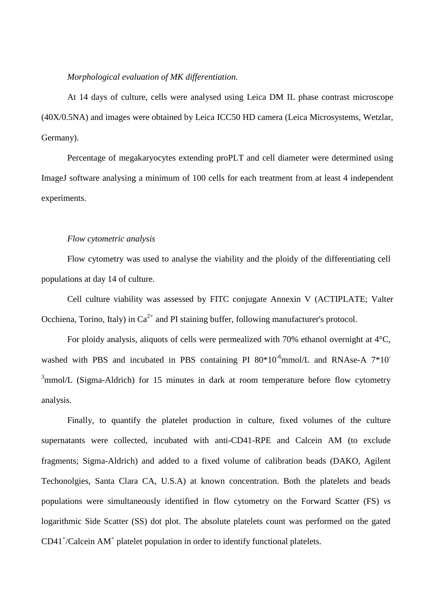# *Morphological evaluation of MK differentiation.*

At 14 days of culture, cells were analysed using Leica DM IL phase contrast microscope (40X/0.5NA) and images were obtained by Leica ICC50 HD camera (Leica Microsystems, Wetzlar, Germany).

Percentage of megakaryocytes extending proPLT and cell diameter were determined using ImageJ software analysing a minimum of 100 cells for each treatment from at least 4 independent experiments.

#### *Flow cytometric analysis*

Flow cytometry was used to analyse the viability and the ploidy of the differentiating cell populations at day 14 of culture.

Cell culture viability was assessed by FITC conjugate Annexin V (ACTIPLATE; Valter Occhiena, Torino, Italy) in  $Ca^{2+}$  and PI staining buffer, following manufacturer's protocol.

For ploidy analysis, aliquots of cells were permealized with 70% ethanol overnight at 4°C, washed with PBS and incubated in PBS containing PI  $80*10^6$ mmol/L and RNAse-A  $7*10^ 3$ mmol/L (Sigma-Aldrich) for 15 minutes in dark at room temperature before flow cytometry analysis.

Finally, to quantify the platelet production in culture, fixed volumes of the culture supernatants were collected, incubated with anti-CD41-RPE and Calcein AM (to exclude fragments; Sigma-Aldrich) and added to a fixed volume of calibration beads (DAKO, Agilent Techonolgies, Santa Clara CA, U.S.A) at known concentration. Both the platelets and beads populations were simultaneously identified in flow cytometry on the Forward Scatter (FS) *vs* logarithmic Side Scatter (SS) dot plot. The absolute platelets count was performed on the gated CD41<sup>+</sup>/Calcein AM<sup>+</sup> platelet population in order to identify functional platelets.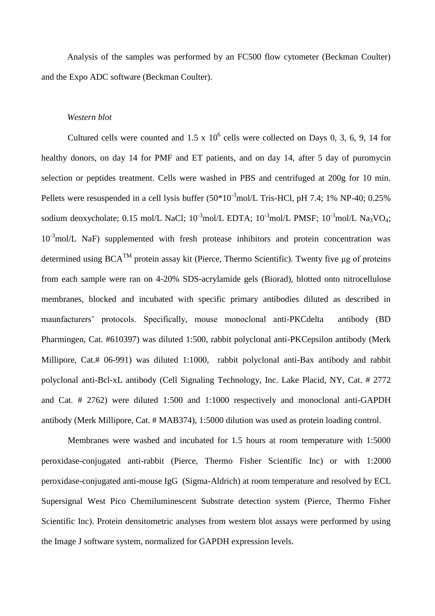Analysis of the samples was performed by an FC500 flow cytometer (Beckman Coulter) and the Expo ADC software (Beckman Coulter).

## *Western blot*

Cultured cells were counted and  $1.5 \times 10^6$  cells were collected on Days 0, 3, 6, 9, 14 for healthy donors, on day 14 for PMF and ET patients, and on day 14, after 5 day of puromycin selection or peptides treatment. Cells were washed in PBS and centrifuged at 200g for 10 min. Pellets were resuspended in a cell lysis buffer  $(50*10^{-3}$ mol/L Tris-HCl, pH 7.4; 1% NP-40; 0.25% sodium deoxycholate; 0.15 mol/L NaCl;  $10^{-3}$ mol/L EDTA;  $10^{-3}$ mol/L PMSF;  $10^{-3}$ mol/L Na<sub>3</sub>VO<sub>4</sub>;  $10^{-3}$ mol/L NaF) supplemented with fresh protease inhibitors and protein concentration was determined using BCATM protein assay kit (Pierce, Thermo Scientific). Twenty five μg of proteins from each sample were ran on 4-20% SDS-acrylamide gels (Biorad), blotted onto nitrocellulose membranes, blocked and incubated with specific primary antibodies diluted as described in maunfacturers' protocols. Specifically, mouse monoclonal anti-PKCdelta antibody (BD Pharmingen, Cat. #610397) was diluted 1:500, rabbit polyclonal anti-PKCepsilon antibody (Merk Millipore, Cat.# 06-991) was diluted 1:1000, rabbit polyclonal anti-Bax antibody and rabbit polyclonal anti-Bcl-xL antibody (Cell Signaling Technology, Inc. Lake Placid, NY, Cat. # 2772 and Cat. # 2762) were diluted 1:500 and 1:1000 respectively and monoclonal anti-GAPDH antibody (Merk Millipore, Cat. # MAB374), 1:5000 dilution was used as protein loading control.

Membranes were washed and incubated for 1.5 hours at room temperature with 1:5000 peroxidase-conjugated anti-rabbit (Pierce, Thermo Fisher Scientific Inc) or with 1:2000 peroxidase-conjugated anti-mouse IgG (Sigma-Aldrich) at room temperature and resolved by ECL Supersignal West Pico Chemiluminescent Substrate detection system (Pierce, Thermo Fisher Scientific Inc). Protein densitometric analyses from western blot assays were performed by using the Image J software system, normalized for GAPDH expression levels.